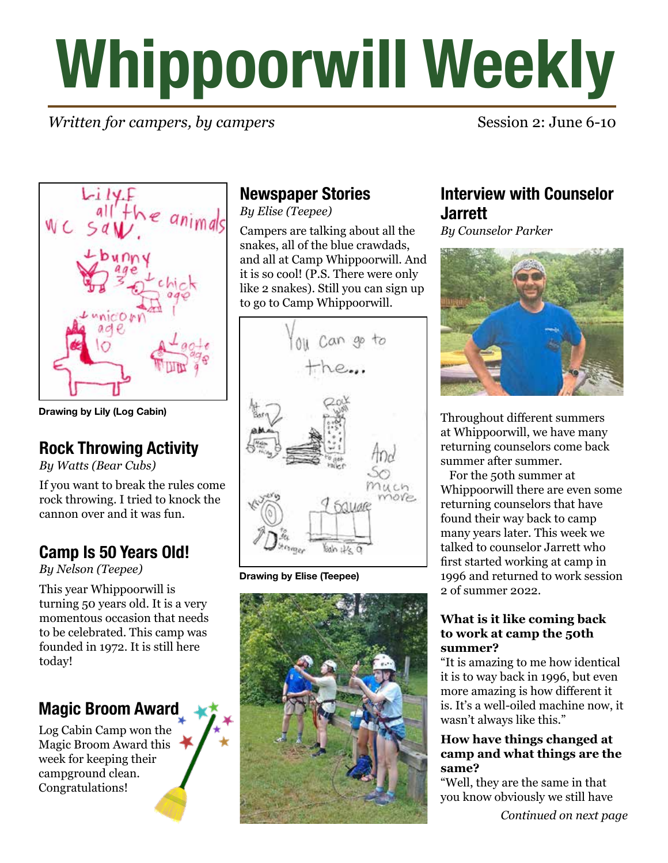# **Whippoorwill Weekly**

# *Written for campers, by campers* Session 2: June 6-10



**Drawing by Lily (Log Cabin)**

# **Rock Throwing Activity**

*By Watts (Bear Cubs)*

If you want to break the rules come rock throwing. I tried to knock the cannon over and it was fun.

# **Camp Is 50 Years Old!**

*By Nelson (Teepee)*

This year Whippoorwill is turning 50 years old. It is a very momentous occasion that needs to be celebrated. This camp was founded in 1972. It is still here today!

# **Magic Broom Award**

Log Cabin Camp won the Magic Broom Award this week for keeping their campground clean. Congratulations!

# **Newspaper Stories**

*By Elise (Teepee)*

Campers are talking about all the snakes, all of the blue crawdads, and all at Camp Whippoorwill. And it is so cool! (P.S. There were only like 2 snakes). Still you can sign up to go to Camp Whippoorwill.



**Drawing by Elise (Teepee)**



# **Interview with Counselor Jarrett**

*By Counselor Parker*



Throughout different summers at Whippoorwill, we have many returning counselors come back summer after summer.

 For the 50th summer at Whippoorwill there are even some returning counselors that have found their way back to camp many years later. This week we talked to counselor Jarrett who first started working at camp in 1996 and returned to work session 2 of summer 2022.

#### **What is it like coming back to work at camp the 50th summer?**

"It is amazing to me how identical it is to way back in 1996, but even more amazing is how different it is. It's a well-oiled machine now, it wasn't always like this."

#### **How have things changed at camp and what things are the same?**

"Well, they are the same in that you know obviously we still have

*Continued on next page*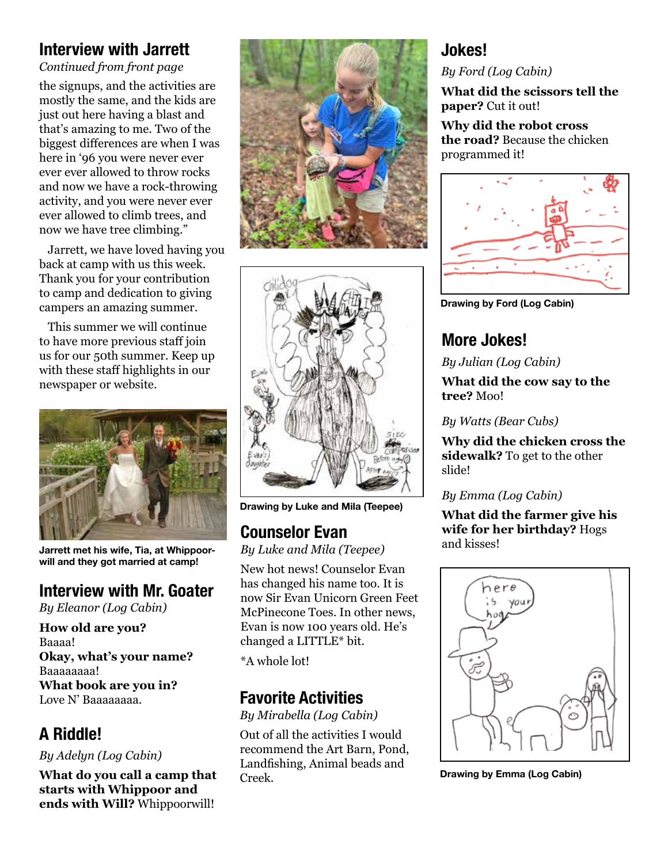# **Interview with Jarrett**

*Continued from front page*

the signups, and the activities are mostly the same, and the kids are just out here having a blast and that's amazing to me. Two of the biggest differences are when I was here in '96 you were never ever ever ever allowed to throw rocks and now we have a rock-throwing activity, and you were never ever ever allowed to climb trees, and now we have tree climbing."

 Jarrett, we have loved having you back at camp with us this week. Thank you for your contribution to camp and dedication to giving campers an amazing summer.

 This summer we will continue to have more previous staff join us for our 50th summer. Keep up with these staff highlights in our newspaper or website.



**Jarrett met his wife, Tia, at Whippoorwill and they got married at camp!**

#### **Interview with Mr. Goater**

*By Eleanor (Log Cabin)*

**How old are you?** Baaaa! **Okay, what's your name?** Baaaaaaaa! **What book are you in?**  Love N' Baaaaaaaa. **Favorite Activities**

# **A Riddle!**

#### *By Adelyn (Log Cabin)*

**What do you call a camp that starts with Whippoor and ends with Will?** Whippoorwill!





**Drawing by Luke and Mila (Teepee)**

# **Counselor Evan**

*By Luke and Mila (Teepee)*

New hot news! Counselor Evan has changed his name too. It is now Sir Evan Unicorn Green Feet McPinecone Toes. In other news, Evan is now 100 years old. He's changed a LITTLE\* bit.

\*A whole lot!

*By Mirabella (Log Cabin)*

Out of all the activities I would recommend the Art Barn, Pond, Landfishing, Animal beads and Creek.

# **Jokes!**

#### *By Ford (Log Cabin)*

**What did the scissors tell the paper?** Cut it out!

#### **Why did the robot cross the road?** Because the chicken programmed it!



**Drawing by Ford (Log Cabin)**

# **More Jokes!**

*By Julian (Log Cabin)*

**What did the cow say to the tree?** Moo!

#### *By Watts (Bear Cubs)*

**Why did the chicken cross the sidewalk?** To get to the other slide!

#### *By Emma (Log Cabin)*

**What did the farmer give his wife for her birthday?** Hogs and kisses!



**Drawing by Emma (Log Cabin)**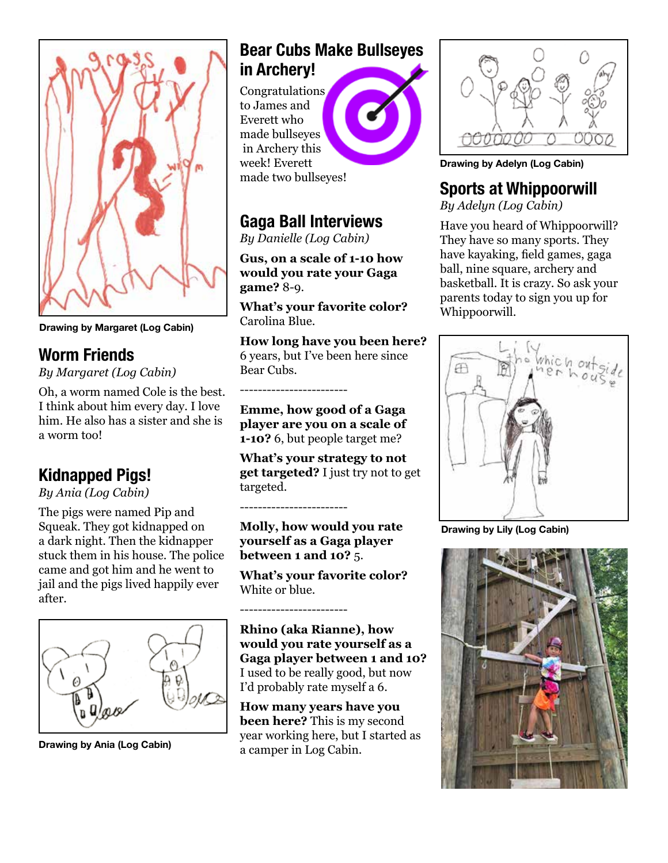

**Drawing by Margaret (Log Cabin)**

# **Worm Friends**

*By Margaret (Log Cabin)*

Oh, a worm named Cole is the best. I think about him every day. I love him. He also has a sister and she is a worm too!

# **Kidnapped Pigs!**

*By Ania (Log Cabin)*

The pigs were named Pip and Squeak. They got kidnapped on a dark night. Then the kidnapper stuck them in his house. The police came and got him and he went to jail and the pigs lived happily ever after.



**Drawing by Ania (Log Cabin)**

#### **Bear Cubs Make Bullseyes in Archery!**

Congratulations to James and Everett who made bullseyes in Archery this week! Everett made two bullseyes!



# **Gaga Ball Interviews**

*By Danielle (Log Cabin)*

**Gus, on a scale of 1-10 how would you rate your Gaga game?** 8-9.

**What's your favorite color?** Carolina Blue.

**How long have you been here?** 6 years, but I've been here since Bear Cubs.

**Emme, how good of a Gaga player are you on a scale of 1-10?** 6, but people target me?

**What's your strategy to not get targeted?** I just try not to get targeted.

------------------------

------------------------

------------------------

**Molly, how would you rate yourself as a Gaga player between 1 and 10?** 5.

**What's your favorite color?**  White or blue.

**Rhino (aka Rianne), how would you rate yourself as a Gaga player between 1 and 10?**  I used to be really good, but now I'd probably rate myself a 6.

**How many years have you been here?** This is my second year working here, but I started as a camper in Log Cabin.



**Drawing by Adelyn (Log Cabin)**

# **Sports at Whippoorwill**

*By Adelyn (Log Cabin)*

Have you heard of Whippoorwill? They have so many sports. They have kayaking, field games, gaga ball, nine square, archery and basketball. It is crazy. So ask your parents today to sign you up for Whippoorwill.



**Drawing by Lily (Log Cabin)**

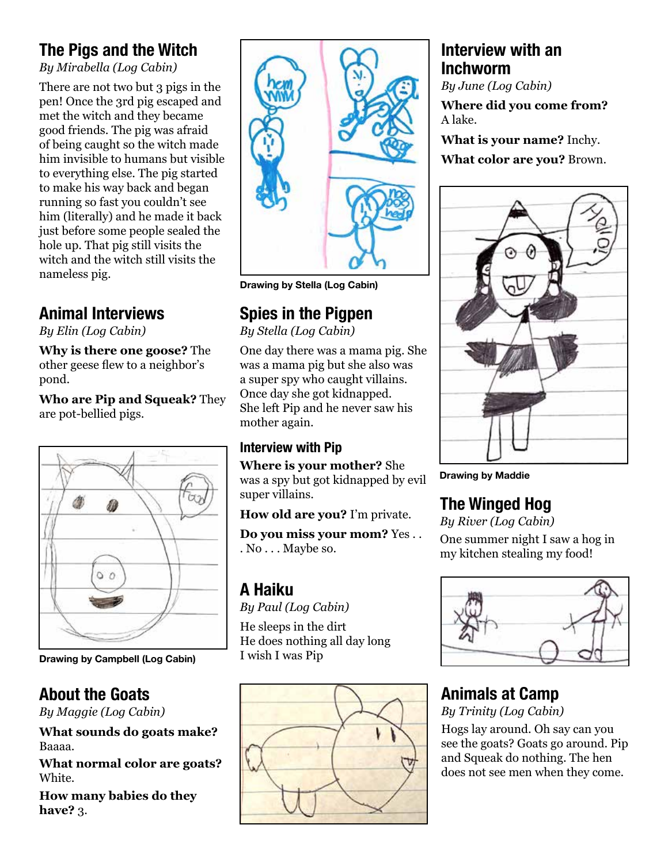# **The Pigs and the Witch**

*By Mirabella (Log Cabin)*

There are not two but 3 pigs in the pen! Once the 3rd pig escaped and met the witch and they became good friends. The pig was afraid of being caught so the witch made him invisible to humans but visible to everything else. The pig started to make his way back and began running so fast you couldn't see him (literally) and he made it back just before some people sealed the hole up. That pig still visits the witch and the witch still visits the nameless pig.

# **Animal Interviews**

*By Elin (Log Cabin)*

**Why is there one goose?** The other geese flew to a neighbor's pond.

**Who are Pip and Squeak?** They are pot-bellied pigs.



**Drawing by Campbell (Log Cabin)**

# **About the Goats**

*By Maggie (Log Cabin)*

**What sounds do goats make?** Baaaa.

**What normal color are goats?** White.

**How many babies do they have?** 3.



**Drawing by Stella (Log Cabin)**

# **Spies in the Pigpen**

*By Stella (Log Cabin)*

One day there was a mama pig. She was a mama pig but she also was a super spy who caught villains. Once day she got kidnapped. She left Pip and he never saw his mother again.

### **Interview with Pip**

**Where is your mother?** She was a spy but got kidnapped by evil super villains.

**How old are you?** I'm private.

**Do you miss your mom?** Yes . . . No . . . Maybe so.

# **A Haiku**

*By Paul (Log Cabin)*

He sleeps in the dirt He does nothing all day long I wish I was Pip



# **Interview with an Inchworm**

*By June (Log Cabin)*

**Where did you come from?** A lake.

**What is your name?** Inchy. **What color are you?** Brown.



**Drawing by Maddie**

# **The Winged Hog**

*By River (Log Cabin)* One summer night I saw a hog in my kitchen stealing my food!



# **Animals at Camp**

*By Trinity (Log Cabin)* Hogs lay around. Oh say can you see the goats? Goats go around. Pip and Squeak do nothing. The hen does not see men when they come.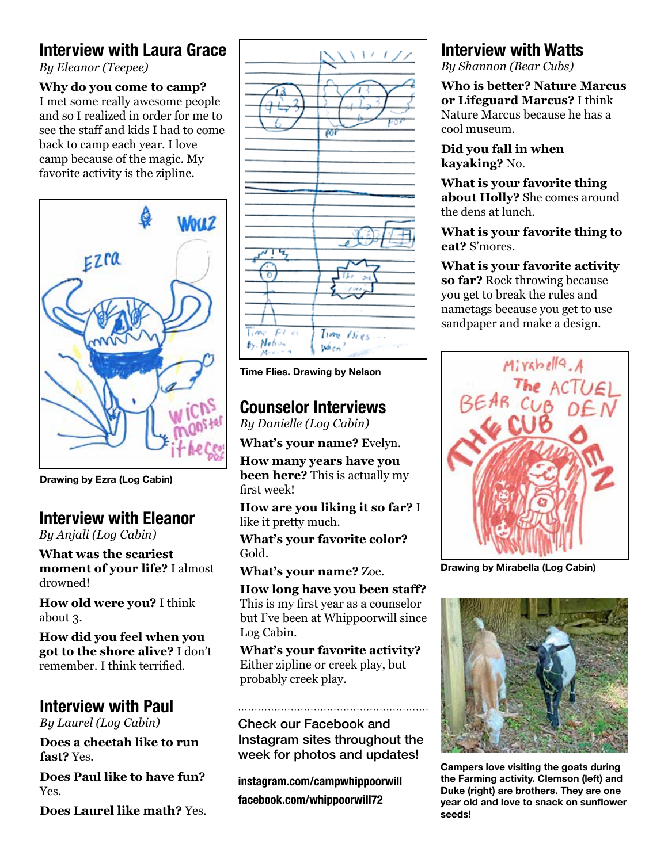# **Interview with Laura Grace**

*By Eleanor (Teepee)*

#### **Why do you come to camp?**

I met some really awesome people and so I realized in order for me to see the staff and kids I had to come back to camp each year. I love camp because of the magic. My favorite activity is the zipline.



**Drawing by Ezra (Log Cabin)**

# **Interview with Eleanor**

*By Anjali (Log Cabin)*

**What was the scariest moment of your life?** I almost drowned!

**How old were you?** I think about 3.

**How did you feel when you got to the shore alive?** I don't remember. I think terrified.

# **Interview with Paul**

*By Laurel (Log Cabin)*

**Does a cheetah like to run fast?** Yes.

**Does Paul like to have fun?**  Yes.

**Does Laurel like math?** Yes.



**Time Flies. Drawing by Nelson**

# **Counselor Interviews**

*By Danielle (Log Cabin)*

**What's your name?** Evelyn.

**How many years have you been here?** This is actually my first week!

**How are you liking it so far?** I like it pretty much.

**What's your favorite color?**  Gold.

**What's your name?** Zoe.

**How long have you been staff?**  This is my first year as a counselor but I've been at Whippoorwill since Log Cabin.

**What's your favorite activity?**  Either zipline or creek play, but probably creek play.

Check our Facebook and Instagram sites throughout the week for photos and updates!

**instagram.com/campwhippoorwill facebook.com/whippoorwill72**

# **Interview with Watts**

*By Shannon (Bear Cubs)*

**Who is better? Nature Marcus or Lifeguard Marcus?** I think Nature Marcus because he has a cool museum.

**Did you fall in when kayaking?** No.

**What is your favorite thing about Holly?** She comes around the dens at lunch.

**What is your favorite thing to eat?** S'mores.

**What is your favorite activity so far?** Rock throwing because you get to break the rules and nametags because you get to use sandpaper and make a design.



**Drawing by Mirabella (Log Cabin)**



**Campers love visiting the goats during the Farming activity. Clemson (left) and Duke (right) are brothers. They are one year old and love to snack on sunflower seeds!**